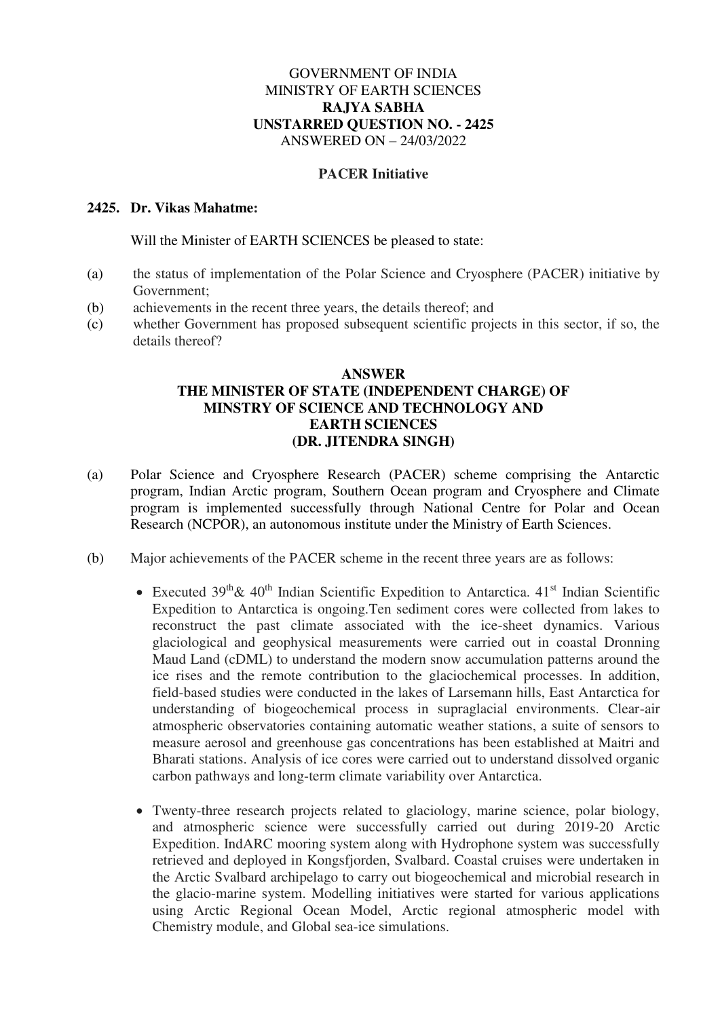## GOVERNMENT OF INDIA MINISTRY OF EARTH SCIENCES **RAJYA SABHA UNSTARRED QUESTION NO. - 2425**  ANSWERED ON – 24/03/2022

## **PACER Initiative**

## **2425. Dr. Vikas Mahatme:**

Will the Minister of EARTH SCIENCES be pleased to state:

- (a) the status of implementation of the Polar Science and Cryosphere (PACER) initiative by Government;
- (b) achievements in the recent three years, the details thereof; and
- (c) whether Government has proposed subsequent scientific projects in this sector, if so, the details thereof?

## **ANSWER THE MINISTER OF STATE (INDEPENDENT CHARGE) OF MINSTRY OF SCIENCE AND TECHNOLOGY AND EARTH SCIENCES (DR. JITENDRA SINGH)**

- (a) Polar Science and Cryosphere Research (PACER) scheme comprising the Antarctic program, Indian Arctic program, Southern Ocean program and Cryosphere and Climate program is implemented successfully through National Centre for Polar and Ocean Research (NCPOR), an autonomous institute under the Ministry of Earth Sciences.
- (b) Major achievements of the PACER scheme in the recent three years are as follows:
	- Executed  $39<sup>th</sup> \& 40<sup>th</sup>$  Indian Scientific Expedition to Antarctica.  $41<sup>st</sup>$  Indian Scientific Expedition to Antarctica is ongoing.Ten sediment cores were collected from lakes to reconstruct the past climate associated with the ice-sheet dynamics. Various glaciological and geophysical measurements were carried out in coastal Dronning Maud Land (cDML) to understand the modern snow accumulation patterns around the ice rises and the remote contribution to the glaciochemical processes. In addition, field-based studies were conducted in the lakes of Larsemann hills, East Antarctica for understanding of biogeochemical process in supraglacial environments. Clear-air atmospheric observatories containing automatic weather stations, a suite of sensors to measure aerosol and greenhouse gas concentrations has been established at Maitri and Bharati stations. Analysis of ice cores were carried out to understand dissolved organic carbon pathways and long-term climate variability over Antarctica.
	- Twenty-three research projects related to glaciology, marine science, polar biology, and atmospheric science were successfully carried out during 2019-20 Arctic Expedition. IndARC mooring system along with Hydrophone system was successfully retrieved and deployed in Kongsfjorden, Svalbard. Coastal cruises were undertaken in the Arctic Svalbard archipelago to carry out biogeochemical and microbial research in the glacio-marine system. Modelling initiatives were started for various applications using Arctic Regional Ocean Model, Arctic regional atmospheric model with Chemistry module, and Global sea-ice simulations.